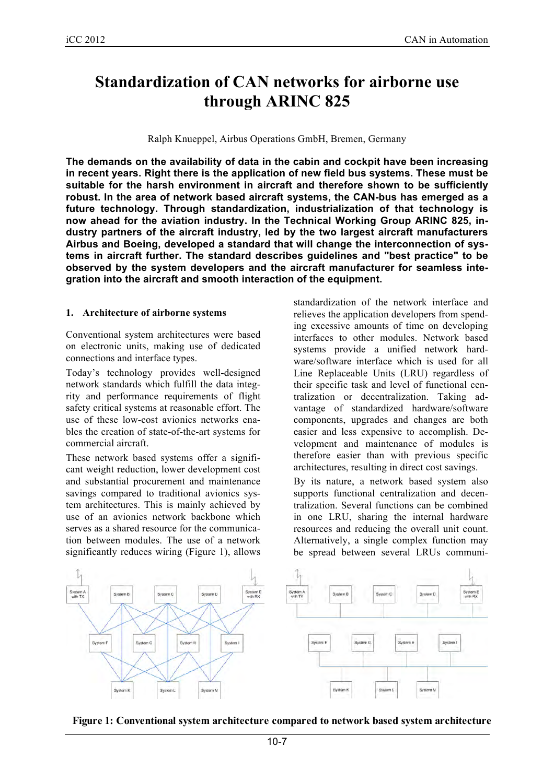# **Standardization of CAN networks for airborne use through ARINC 825**

Ralph Knueppel, Airbus Operations GmbH, Bremen, Germany

**The demands on the availability of data in the cabin and cockpit have been increasing in recent years. Right there is the application of new field bus systems. These must be suitable for the harsh environment in aircraft and therefore shown to be sufficiently robust. In the area of network based aircraft systems, the CAN-bus has emerged as a future technology. Through standardization, industrialization of that technology is now ahead for the aviation industry. In the Technical Working Group ARINC 825, industry partners of the aircraft industry, led by the two largest aircraft manufacturers Airbus and Boeing, developed a standard that will change the interconnection of systems in aircraft further. The standard describes guidelines and "best practice" to be observed by the system developers and the aircraft manufacturer for seamless integration into the aircraft and smooth interaction of the equipment.**

#### **1. Architecture of airborne systems**

Conventional system architectures were based on electronic units, making use of dedicated connections and interface types.

Today's technology provides well-designed network standards which fulfill the data integrity and performance requirements of flight safety critical systems at reasonable effort. The use of these low-cost avionics networks enables the creation of state-of-the-art systems for commercial aircraft.

These network based systems offer a significant weight reduction, lower development cost and substantial procurement and maintenance savings compared to traditional avionics system architectures. This is mainly achieved by use of an avionics network backbone which serves as a shared resource for the communication between modules. The use of a network significantly reduces wiring (Figure 1), allows standardization of the network interface and relieves the application developers from spending excessive amounts of time on developing interfaces to other modules. Network based systems provide a unified network hardware/software interface which is used for all Line Replaceable Units (LRU) regardless of their specific task and level of functional centralization or decentralization. Taking advantage of standardized hardware/software components, upgrades and changes are both easier and less expensive to accomplish. Development and maintenance of modules is therefore easier than with previous specific architectures, resulting in direct cost savings.

By its nature, a network based system also supports functional centralization and decentralization. Several functions can be combined in one LRU, sharing the internal hardware resources and reducing the overall unit count. Alternatively, a single complex function may be spread between several LRUs communi-



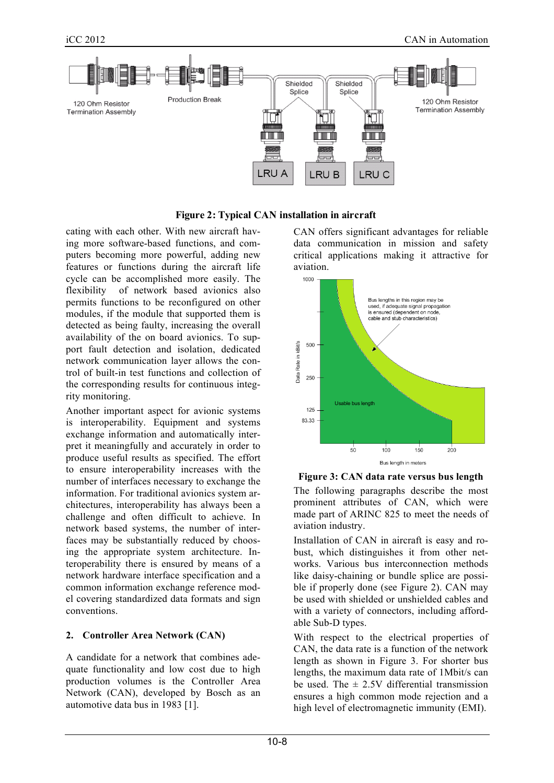

**Figure 2: Typical CAN installation in aircraft**

cating with each other. With new aircraft having more software-based functions, and computers becoming more powerful, adding new features or functions during the aircraft life cycle can be accomplished more easily. The flexibility of network based avionics also permits functions to be reconfigured on other modules, if the module that supported them is detected as being faulty, increasing the overall availability of the on board avionics. To support fault detection and isolation, dedicated network communication layer allows the control of built-in test functions and collection of the corresponding results for continuous integrity monitoring.

Another important aspect for avionic systems is interoperability. Equipment and systems exchange information and automatically interpret it meaningfully and accurately in order to produce useful results as specified. The effort to ensure interoperability increases with the number of interfaces necessary to exchange the information. For traditional avionics system architectures, interoperability has always been a challenge and often difficult to achieve. In network based systems, the number of interfaces may be substantially reduced by choosing the appropriate system architecture. Interoperability there is ensured by means of a network hardware interface specification and a common information exchange reference model covering standardized data formats and sign conventions.

## **2. Controller Area Network (CAN)**

A candidate for a network that combines adequate functionality and low cost due to high production volumes is the Controller Area Network (CAN), developed by Bosch as an automotive data bus in 1983 [1].

CAN offers significant advantages for reliable data communication in mission and safety critical applications making it attractive for aviation.





The following paragraphs describe the most prominent attributes of CAN, which were made part of ARINC 825 to meet the needs of aviation industry.

Installation of CAN in aircraft is easy and robust, which distinguishes it from other networks. Various bus interconnection methods like daisy-chaining or bundle splice are possible if properly done (see Figure 2). CAN may be used with shielded or unshielded cables and with a variety of connectors, including affordable Sub-D types.

With respect to the electrical properties of CAN, the data rate is a function of the network length as shown in Figure 3. For shorter bus lengths, the maximum data rate of 1Mbit/s can be used. The  $\pm$  2.5V differential transmission ensures a high common mode rejection and a high level of electromagnetic immunity (EMI).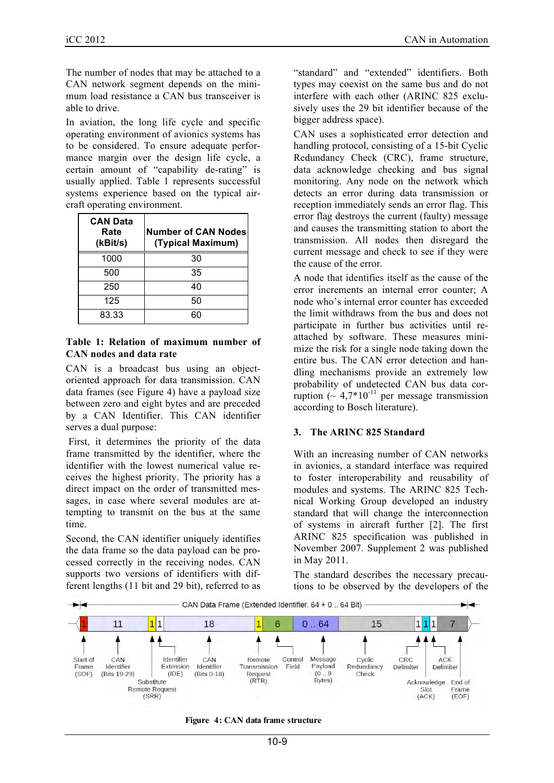The number of nodes that may be attached to a CAN network segment depends on the minimum load resistance a CAN bus transceiver is able to drive.

In aviation, the long life cycle and specific operating environment of avionics systems has to be considered. To ensure adequate performance margin over the design life cycle, a certain amount of "capability de-rating" is usually applied. Table  $1$  represents successful systems experience based on the typical aircraft operating environment.

| <b>CAN Data</b><br>Rate<br>(kBit/s) | <b>Number of CAN Nodes</b><br>(Typical Maximum) |
|-------------------------------------|-------------------------------------------------|
| 1000                                | 30                                              |
| 500                                 | 35                                              |
| 250                                 | 40                                              |
| 125                                 | 50                                              |
| 83.33                               | 60                                              |

#### **Table 1: Relation of maximum number of CAN nodes and data rate**

CAN is a broadcast bus using an objectoriented approach for data transmission. CAN data frames (see Figure 4) have a payload size between zero and eight bytes and are preceded by a CAN Identifier. This CAN identifier serves a dual purpose:

First, it determines the priority of the data frame transmitted by the identifier, where the identifier with the lowest numerical value receives the highest priority. The priority has a direct impact on the order of transmitted messages, in case where several modules are attempting to transmit on the bus at the same time.

Second, the CAN identifier uniquely identifies the data frame so the data payload can be processed correctly in the receiving nodes. CAN supports two versions of identifiers with different lengths (11 bit and 29 bit), referred to as "standard" and "extended" identifiers. Both types may coexist on the same bus and do not interfere with each other (ARINC 825 exclusively uses the 29 bit identifier because of the bigger address space).

CAN uses a sophisticated error detection and handling protocol, consisting of a 15-bit Cyclic Redundancy Check (CRC), frame structure, data acknowledge checking and bus signal monitoring. Any node on the network which detects an error during data transmission or reception immediately sends an error flag. This error flag destroys the current (faulty) message and causes the transmitting station to abort the transmission. All nodes then disregard the current message and check to see if they were the cause of the error.

A node that identifies itself as the cause of the error increments an internal error counter; A node who's internal error counter has exceeded the limit withdraws from the bus and does not participate in further bus activities until reattached by software. These measures minimize the risk for a single node taking down the entire bus. The CAN error detection and handling mechanisms provide an extremely low probability of undetected CAN bus data corruption  $($   $\sim 4.7*10^{-11}$  per message transmission according to Bosch literature).

### **3. The ARINC 825 Standard**

With an increasing number of CAN networks in avionics, a standard interface was required to foster interoperability and reusability of modules and systems. The ARINC 825 Technical Working Group developed an industry standard that will change the interconnection of systems in aircraft further [2]. The first ARINC 825 specification was published in November 2007. Supplement 2 was published in May 2011.

The standard describes the necessary precautions to be observed by the developers of the



**Figure 4: CAN data frame structure**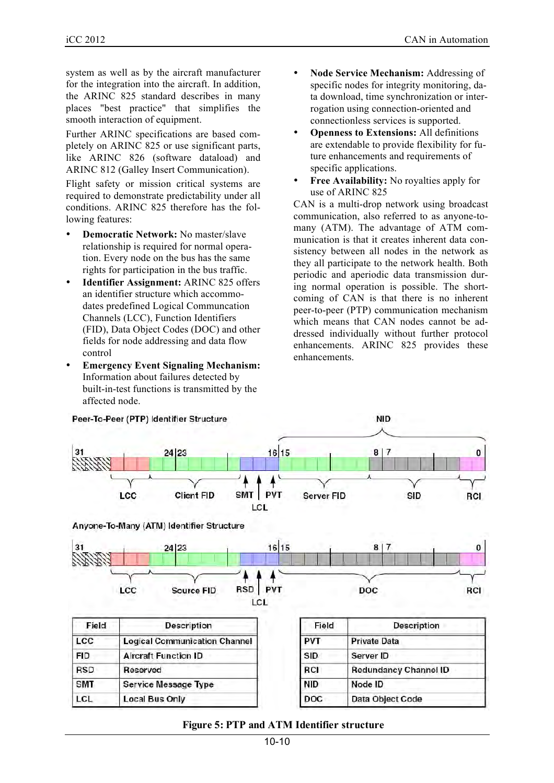system as well as by the aircraft manufacturer for the integration into the aircraft. In addition, the ARINC 825 standard describes in many places "best practice" that simplifies the smooth interaction of equipment.

Further ARINC specifications are based completely on ARINC 825 or use significant parts, like ARINC 826 (software dataload) and ARINC 812 (Galley Insert Communication).

Flight safety or mission critical systems are required to demonstrate predictability under all conditions. ARINC 825 therefore has the following features:

- **Democratic Network:** No master/slave relationship is required for normal operation. Every node on the bus has the same rights for participation in the bus traffic.
- **Identifier Assignment:** ARINC 825 offers an identifier structure which accommodates predefined Logical Communcation Channels (LCC), Function Identifiers (FID), Data Object Codes (DOC) and other fields for node addressing and data flow control
- **Emergency Event Signaling Mechanism:** Information about failures detected by built-in-test functions is transmitted by the affected node.
- **Node Service Mechanism:** Addressing of specific nodes for integrity monitoring, data download, time synchronization or interrogation using connection-oriented and connectionless services is supported.
- **Openness to Extensions:** All definitions are extendable to provide flexibility for future enhancements and requirements of specific applications.
- **Free Availability:** No royalties apply for use of ARINC 825

CAN is a multi-drop network using broadcast communication, also referred to as anyone-tomany (ATM). The advantage of ATM communication is that it creates inherent data consistency between all nodes in the network as they all participate to the network health. Both periodic and aperiodic data transmission during normal operation is possible. The shortcoming of CAN is that there is no inherent peer-to-peer (PTP) communication mechanism which means that CAN nodes cannot be addressed individually without further protocol enhancements. ARINC 825 provides these enhancements.



## **Figure 5: PTP and ATM Identifier structure**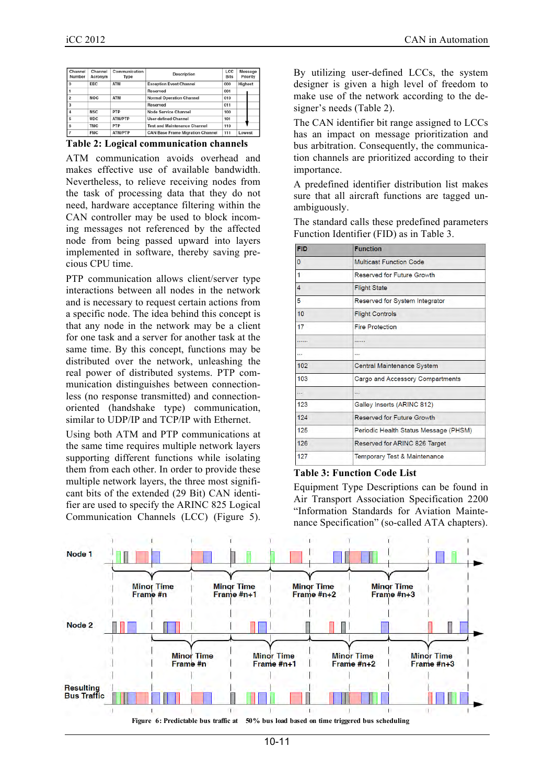| Channel<br>Number | Channel<br>Acronym | Communication<br>Type | Description                             | LCC<br><b>Bits</b> | Message<br>Priority |
|-------------------|--------------------|-----------------------|-----------------------------------------|--------------------|---------------------|
| $\Omega$          | <b>EEC</b>         | <b>ATM</b>            | <b>Exception Event Channel</b>          | 000                | Highest             |
|                   |                    |                       | Reserved                                | 001                |                     |
| $\overline{2}$    | <b>NOC</b>         | <b>ATM</b>            | <b>Normal Operation Channel</b>         | 010                |                     |
| 3                 |                    |                       | Reserved                                | 011                |                     |
|                   | <b>NSC</b>         | <b>PTP</b>            | Node Service Channel                    | 100                |                     |
|                   | <b>UDC</b>         | <b>ATM/PTP</b>        | <b>User-defined Channel</b>             | 101                |                     |
| 6                 | <b>TMC</b>         | <b>PTP</b>            | <b>Test and Maintenance Channel</b>     | 110                |                     |
|                   | <b>FMC</b>         | <b>ATM/PTP</b>        | <b>CAN Base Frame Migration Channel</b> | 111                | Lowest              |

|  | <b>Table 2: Logical communication channels</b> |  |
|--|------------------------------------------------|--|
|  |                                                |  |

ATM communication avoids overhead and makes effective use of available bandwidth. Nevertheless, to relieve receiving nodes from the task of processing data that they do not need, hardware acceptance filtering within the CAN controller may be used to block incoming messages not referenced by the affected node from being passed upward into layers implemented in software, thereby saving precious CPU time.

PTP communication allows client/server type interactions between all nodes in the network and is necessary to request certain actions from a specific node. The idea behind this concept is that any node in the network may be a client for one task and a server for another task at the same time. By this concept, functions may be distributed over the network, unleashing the real power of distributed systems. PTP communication distinguishes between connectionless (no response transmitted) and connectionoriented (handshake type) communication, similar to UDP/IP and TCP/IP with Ethernet.

Using both ATM and PTP communications at the same time requires multiple network layers supporting different functions while isolating them from each other. In order to provide these multiple network layers, the three most significant bits of the extended (29 Bit) CAN identifier are used to specify the ARINC 825 Logical Communication Channels (LCC) (Figure 5). By utilizing user-defined LCCs, the system designer is given a high level of freedom to make use of the network according to the designer's needs (Table 2).

The CAN identifier bit range assigned to LCCs has an impact on message prioritization and bus arbitration. Consequently, the communication channels are prioritized according to their importance.

A predefined identifier distribution list makes sure that all aircraft functions are tagged unambiguously.

The standard calls these predefined parameters Function Identifier (FID) as in Table 3.

| <b>FID</b>     | <b>Function</b>                         |  |
|----------------|-----------------------------------------|--|
| 0              | Multicast Function Code                 |  |
| 1              | Reserved for Future Growth              |  |
| $\overline{4}$ | <b>Flight State</b>                     |  |
| 5              | Reserved for System Integrator          |  |
| 10             | <b>Flight Controls</b>                  |  |
| 17             | <b>Fire Protection</b>                  |  |
|                |                                         |  |
|                |                                         |  |
| 102            | Central Maintenance System              |  |
| 103            | Cargo and Accessory Compartments        |  |
|                |                                         |  |
| 123            | Galley Inserts (ARINC 812)              |  |
| 124            | <b>Reserved for Future Growth</b>       |  |
| 125            | Periodic Health Status Message (PHSM)   |  |
| 126            | Reserved for ARINC 826 Target           |  |
| 127            | <b>Temporary Test &amp; Maintenance</b> |  |

#### **Table 3: Function Code List**

Equipment Type Descriptions can be found in Air Transport Association Specification 2200 "Information Standards for Aviation Maintenance Specification" (so-called ATA chapters).

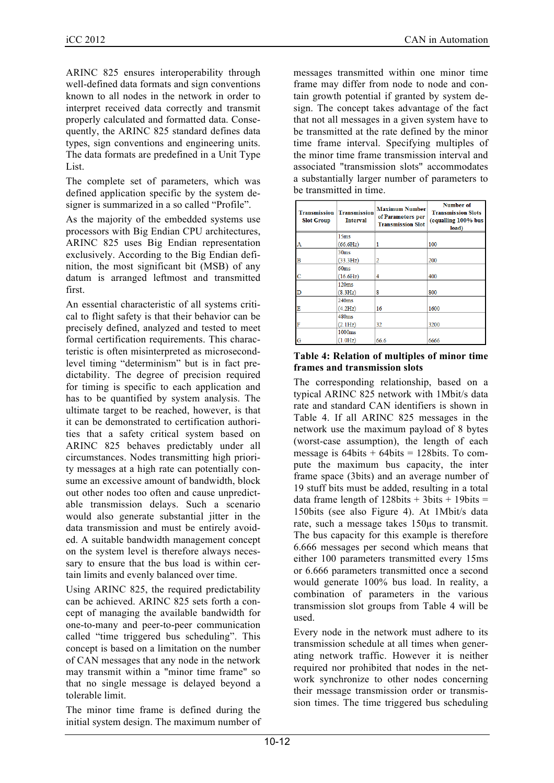ARINC 825 ensures interoperability through well-defined data formats and sign conventions known to all nodes in the network in order to interpret received data correctly and transmit properly calculated and formatted data. Consequently, the ARINC 825 standard defines data types, sign conventions and engineering units. The data formats are predefined in a Unit Type List.

The complete set of parameters, which was defined application specific by the system designer is summarized in a so called "Profile".

As the majority of the embedded systems use processors with Big Endian CPU architectures, ARINC 825 uses Big Endian representation exclusively. According to the Big Endian definition, the most significant bit (MSB) of any datum is arranged leftmost and transmitted first.

An essential characteristic of all systems critical to flight safety is that their behavior can be precisely defined, analyzed and tested to meet formal certification requirements. This characteristic is often misinterpreted as microsecondlevel timing "determinism" but is in fact predictability. The degree of precision required for timing is specific to each application and has to be quantified by system analysis. The ultimate target to be reached, however, is that it can be demonstrated to certification authorities that a safety critical system based on ARINC 825 behaves predictably under all circumstances. Nodes transmitting high priority messages at a high rate can potentially consume an excessive amount of bandwidth, block out other nodes too often and cause unpredictable transmission delays. Such a scenario would also generate substantial jitter in the data transmission and must be entirely avoided. A suitable bandwidth management concept on the system level is therefore always necessary to ensure that the bus load is within certain limits and evenly balanced over time.

Using ARINC 825, the required predictability can be achieved. ARINC 825 sets forth a concept of managing the available bandwidth for one-to-many and peer-to-peer communication called "time triggered bus scheduling". This concept is based on a limitation on the number of CAN messages that any node in the network may transmit within a "minor time frame" so that no single message is delayed beyond a tolerable limit.

The minor time frame is defined during the initial system design. The maximum number of messages transmitted within one minor time frame may differ from node to node and contain growth potential if granted by system design. The concept takes advantage of the fact that not all messages in a given system have to be transmitted at the rate defined by the minor time frame interval. Specifying multiples of the minor time frame transmission interval and associated "transmission slots" accommodates a substantially larger number of parameters to be transmitted in time.

| Transmission<br><b>Slot Group</b> | <b>Transmission</b><br><b>Interval</b> | <b>Maximum Number</b><br>of Parameters per<br><b>Transmission Slot</b> | <b>Number of</b><br><b>Transmission Slots</b><br>(equalling 100% bus<br>load) |
|-----------------------------------|----------------------------------------|------------------------------------------------------------------------|-------------------------------------------------------------------------------|
|                                   | 15ms                                   |                                                                        |                                                                               |
| А                                 | (66.6Hz)                               |                                                                        | 100                                                                           |
|                                   | 30 <sub>ms</sub>                       |                                                                        |                                                                               |
| B                                 | (33.3Hz)                               | 2                                                                      | 200                                                                           |
|                                   | 60ms                                   |                                                                        |                                                                               |
| c                                 | (16.6Hz)                               | 4                                                                      | 400                                                                           |
|                                   | 120ms                                  |                                                                        |                                                                               |
| D                                 | (8.3Hz)                                | 8                                                                      | 800                                                                           |
|                                   | 240ms                                  |                                                                        |                                                                               |
| E                                 | (4.2Hz)                                | 16                                                                     | 1600                                                                          |
|                                   | 480ms                                  |                                                                        |                                                                               |
| F                                 | (2.1Hz)                                | 32                                                                     | 3200                                                                          |
|                                   | 1000ms                                 |                                                                        |                                                                               |
| G                                 | (1.0 Hz)                               | 66.6                                                                   | 6666                                                                          |

#### **Table 4: Relation of multiples of minor time frames and transmission slots**

The corresponding relationship, based on a typical ARINC 825 network with 1Mbit/s data rate and standard CAN identifiers is shown in Table 4. If all ARINC 825 messages in the network use the maximum payload of 8 bytes (worst-case assumption), the length of each message is  $64bits + 64bits = 128bits$ . To compute the maximum bus capacity, the inter frame space (3bits) and an average number of 19 stuff bits must be added, resulting in a total data frame length of  $128bits + 3bits + 19bits =$ 150bits (see also Figure 4). At 1Mbit/s data rate, such a message takes 150µs to transmit. The bus capacity for this example is therefore 6.666 messages per second which means that either 100 parameters transmitted every 15ms or 6.666 parameters transmitted once a second would generate 100% bus load. In reality, a combination of parameters in the various transmission slot groups from Table 4 will be used.

Every node in the network must adhere to its transmission schedule at all times when generating network traffic. However it is neither required nor prohibited that nodes in the network synchronize to other nodes concerning their message transmission order or transmission times. The time triggered bus scheduling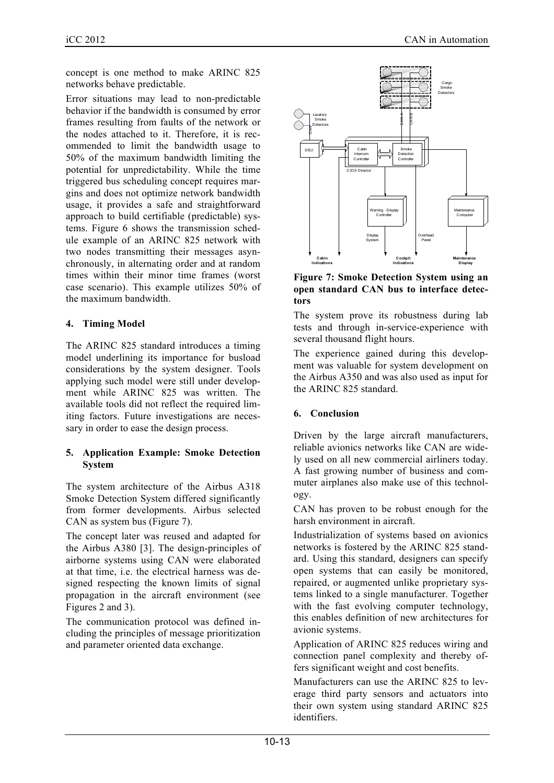concept is one method to make ARINC 825 networks behave predictable.

Error situations may lead to non-predictable behavior if the bandwidth is consumed by error frames resulting from faults of the network or the nodes attached to it. Therefore, it is recommended to limit the bandwidth usage to 50% of the maximum bandwidth limiting the potential for unpredictability. While the time triggered bus scheduling concept requires margins and does not optimize network bandwidth usage, it provides a safe and straightforward approach to build certifiable (predictable) systems. Figure 6 shows the transmission schedule example of an ARINC 825 network with two nodes transmitting their messages asynchronously, in alternating order and at random times within their minor time frames (worst case scenario). This example utilizes 50% of the maximum bandwidth.

# **4. Timing Model**

The ARINC 825 standard introduces a timing model underlining its importance for busload considerations by the system designer. Tools applying such model were still under development while ARINC 825 was written. The available tools did not reflect the required limiting factors. Future investigations are necessary in order to ease the design process.

## **5. Application Example: Smoke Detection System**

The system architecture of the Airbus A318 Smoke Detection System differed significantly from former developments. Airbus selected CAN as system bus (Figure 7).

The concept later was reused and adapted for the Airbus A380 [3]. The design-principles of airborne systems using CAN were elaborated at that time, i.e. the electrical harness was designed respecting the known limits of signal propagation in the aircraft environment (see Figures 2 and 3).

The communication protocol was defined including the principles of message prioritization and parameter oriented data exchange.



**Figure 7: Smoke Detection System using an open standard CAN bus to interface detectors**

The system prove its robustness during lab tests and through in-service-experience with several thousand flight hours.

The experience gained during this development was valuable for system development on the Airbus A350 and was also used as input for the ARINC 825 standard.

## **6. Conclusion**

Driven by the large aircraft manufacturers, reliable avionics networks like CAN are widely used on all new commercial airliners today. A fast growing number of business and commuter airplanes also make use of this technology.

CAN has proven to be robust enough for the harsh environment in aircraft.

Industrialization of systems based on avionics networks is fostered by the ARINC 825 standard. Using this standard, designers can specify open systems that can easily be monitored, repaired, or augmented unlike proprietary systems linked to a single manufacturer. Together with the fast evolving computer technology, this enables definition of new architectures for avionic systems.

Application of ARINC 825 reduces wiring and connection panel complexity and thereby offers significant weight and cost benefits.

Manufacturers can use the ARINC 825 to leverage third party sensors and actuators into their own system using standard ARINC 825 identifiers.